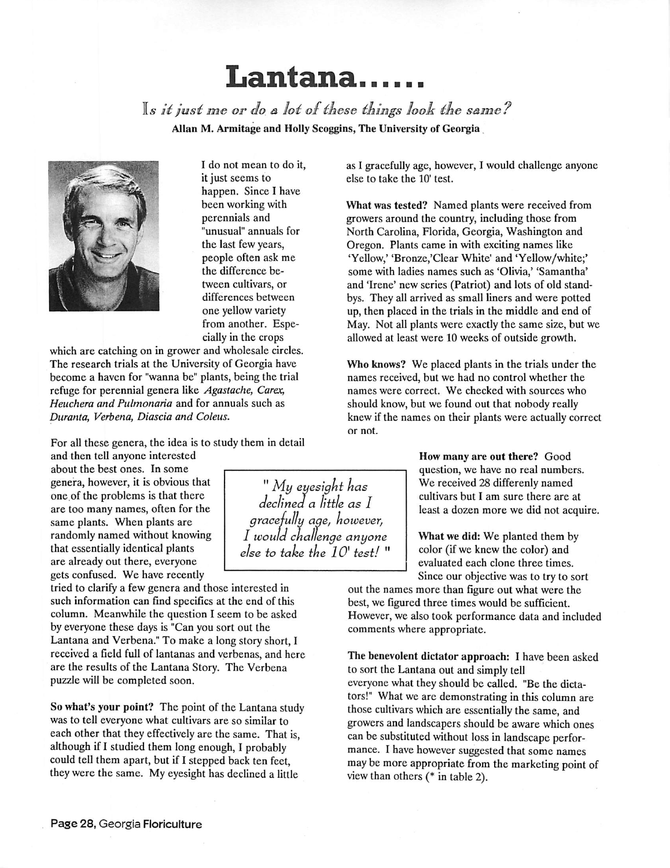## *Lantana*

**Is it just me or do a lot of these things look the same?** Allan M. Armitage and Holly Scoggins, The University of Georgia



I do not mean to do it, it just seems to happen. Since I have been working with perennials and "unusual" annuals for the last few years, people often ask me the difference be tween cultivars, or differences between one yellow variety from another. Espe cially in the crops

which are catching on in grower and wholesale circles. The research trials at the University of Georgia have become a haven for "wanna be" plants, being the trial refuge for perennial genera like **Agastache, Carex, Heuchera and Pulmonaria** and for annuals such as **Duranta, Verbena, Diascia and Coleus.**

For all these genera, the idea is to study them in detail

and then tell anyone interested about the best ones. In some genera, however, it is obvious that one of the problems is that there are too many names, often for the same plants. When plants are randomly named without knowing that essentially identical plants are already out there, everyone gets confused. We have recently

tried to clarify a few genera and those interested in such information can find specifics at the end of this column. Meanwhile the question I seem to be asked by everyone these days is "Can you sort out the Lantana and Verbena." To make a long story short, I received a field full of lantanas and verbenas, and here are the results of the Lantana Story. The Verbena puzzle will be completed soon.

So what's your point? The point of the Lantana study was to tell everyone what cultivars are so similar to each other that they effectivelyare the same. That is, although if I studied them long enough, I probably could tell them apart, but if I stepped back ten feet, they were the same. My eyesight has declined a little

"**My eyesight has declined a little as I gracefully ape, however, I would challenge anyone else to take the 10\* test!**

as I gracefully age, however, I would challenge anyone else to take the 10' test.

What was tested? Named plants were received from growers around the country, including those from North Carolina, Florida, Georgia, Washington and Oregon. Plants came in with exciting names like 'Yellow,' 'Bronze,'Clear White' and 'Yellow/white;' some with ladies names such as 'Olivia,' 'Samantha' and 'Irene' new series (Patriot) and lots of old standbys. They all arrived as small liners and were potted up, then placed in the trials in the middle and end of May. Not all plants were exactly the same size, but we allowed at least were 10 weeks of outside growth.

Who knows? We placed plants in the trials under the names received, but we had no control whether the names were correct. We checked with sources who should know, but we found out that nobody really knew if the names on their plants were actually correct or not.

> How many are out there? Good question, we have no real numbers. We received 28 differenly named cultivars but I am sure there are at least a dozen more we did not acquire.

What we did: We planted them by color (if we knew the color) and evaluated each clone three times. Since our objective was to try to sort

out the names more than figure out what were the best, we figured three times would be sufficient. However, we also took performance data and included comments where appropriate.

The benevolent dictator approach: I have been asked to sort the Lantana out and simplytell everyone what they should be called. "Be the dicta tors!" What we are demonstrating in this column are those cultivars which are essentially the same, and growers and landscapers should be aware which ones can be substituted without loss in landscape perfor mance. I have however suggested that some names may be more appropriate from the marketing point of view than others (\* in table 2).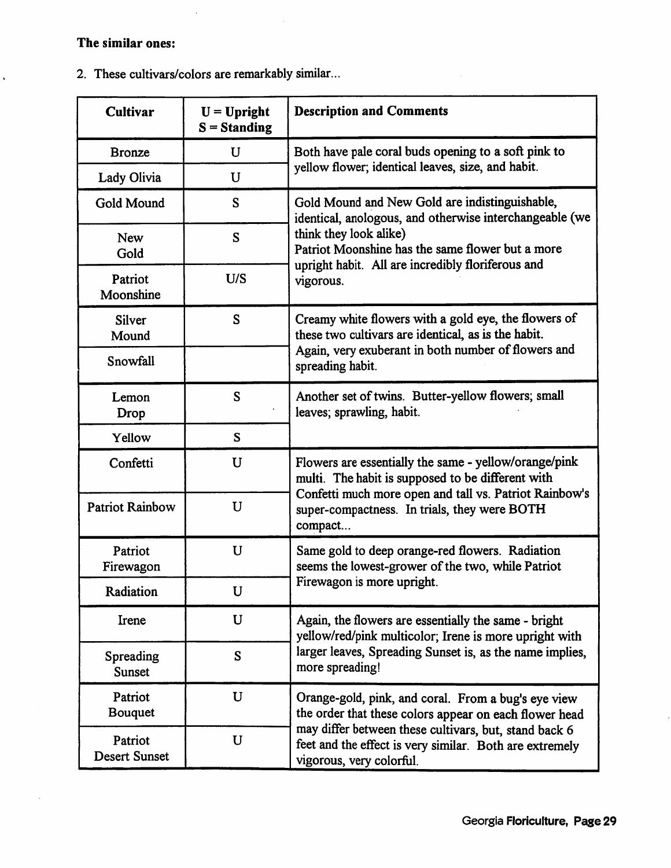## *The* similar ones:

 $\hat{\mathbf{v}}$ 

 $\ddot{\phantom{a}}$ 

2. These cultivars/colors are remarkably similar.

 $\ddot{\phantom{a}}$ 

| <b>Cultivar</b>                 | $U = Upright$<br>$S =$ Standing | <b>Description and Comments</b>                                                                                                                                                                                                                               |
|---------------------------------|---------------------------------|---------------------------------------------------------------------------------------------------------------------------------------------------------------------------------------------------------------------------------------------------------------|
| <b>Bronze</b>                   | $\mathbf U$                     | Both have pale coral buds opening to a soft pink to<br>yellow flower; identical leaves, size, and habit.                                                                                                                                                      |
| Lady Olivia                     | $\mathbf U$                     |                                                                                                                                                                                                                                                               |
| Gold Mound                      | S                               | Gold Mound and New Gold are indistinguishable,<br>identical, anologous, and otherwise interchangeable (we<br>think they look alike)<br>Patriot Moonshine has the same flower but a more<br>upright habit. All are incredibly floriferous and<br>vigorous.     |
| <b>New</b><br>Gold              | S                               |                                                                                                                                                                                                                                                               |
| Patriot<br>Moonshine            | U/S                             |                                                                                                                                                                                                                                                               |
| <b>Silver</b><br>Mound          | S                               | Creamy white flowers with a gold eye, the flowers of<br>these two cultivars are identical, as is the habit.<br>Again, very exuberant in both number of flowers and<br>spreading habit.                                                                        |
| Snowfall                        |                                 |                                                                                                                                                                                                                                                               |
| Lemon<br>Drop                   | S                               | Another set of twins. Butter-yellow flowers; small<br>leaves; sprawling, habit.                                                                                                                                                                               |
| Yellow                          | S                               |                                                                                                                                                                                                                                                               |
| Confetti                        | U                               | Flowers are essentially the same - yellow/orange/pink<br>multi. The habit is supposed to be different with<br>Confetti much more open and tall vs. Patriot Rainbow's<br>super-compactness. In trials, they were BOTH<br>compact                               |
| <b>Patriot Rainbow</b>          | U                               |                                                                                                                                                                                                                                                               |
| Patriot<br>Firewagon            | U                               | Same gold to deep orange-red flowers. Radiation<br>seems the lowest-grower of the two, while Patriot<br>Firewagon is more upright.                                                                                                                            |
| Radiation                       | U                               |                                                                                                                                                                                                                                                               |
| Irene                           | U                               | Again, the flowers are essentially the same - bright<br>yellow/red/pink multicolor; Irene is more upright with<br>larger leaves, Spreading Sunset is, as the name implies,<br>more spreading!                                                                 |
| Spreading<br><b>Sunset</b>      | S                               |                                                                                                                                                                                                                                                               |
| Patriot<br><b>Bouquet</b>       | U                               | Orange-gold, pink, and coral. From a bug's eye view<br>the order that these colors appear on each flower head<br>may differ between these cultivars, but, stand back 6<br>feet and the effect is very similar. Both are extremely<br>vigorous, very colorful. |
| Patriot<br><b>Desert Sunset</b> | $\mathbf U$                     |                                                                                                                                                                                                                                                               |